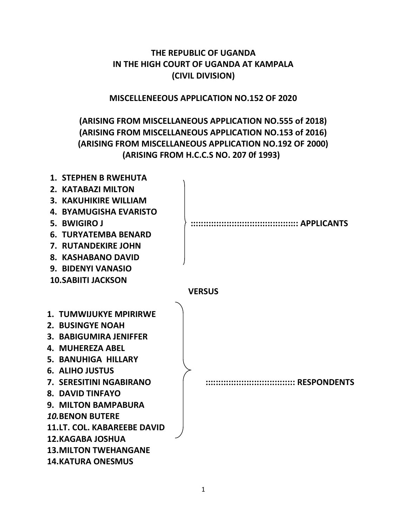**THE REPUBLIC OF UGANDA IN THE HIGH COURT OF UGANDA AT KAMPALA (CIVIL DIVISION)**

**MISCELLENEEOUS APPLICATION NO.152 OF 2020**

# **(ARISING FROM MISCELLANEOUS APPLICATION NO.555 of 2018) (ARISING FROM MISCELLANEOUS APPLICATION NO.153 of 2016) (ARISING FROM MISCELLANEOUS APPLICATION NO.192 OF 2000) (ARISING FROM H.C.C.S NO. 207 0f 1993)**

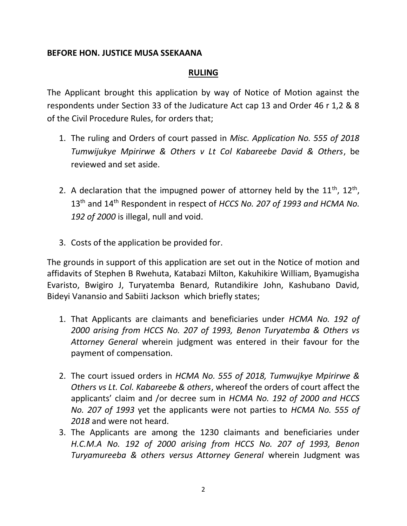### **BEFORE HON. JUSTICE MUSA SSEKAANA**

#### **RULING**

The Applicant brought this application by way of Notice of Motion against the respondents under Section 33 of the Judicature Act cap 13 and Order 46 r 1,2 & 8 of the Civil Procedure Rules, for orders that;

- 1. The ruling and Orders of court passed in *Misc. Application No. 555 of 2018 Tumwijukye Mpirirwe & Others v Lt Col Kabareebe David & Others*, be reviewed and set aside.
- 2. A declaration that the impugned power of attorney held by the  $11^{th}$ ,  $12^{th}$ , 13th and 14th Respondent in respect of *HCCS No. 207 of 1993 and HCMA No. 192 of 2000* is illegal, null and void.
- 3. Costs of the application be provided for.

The grounds in support of this application are set out in the Notice of motion and affidavits of Stephen B Rwehuta, Katabazi Milton, Kakuhikire William, Byamugisha Evaristo, Bwigiro J, Turyatemba Benard, Rutandikire John, Kashubano David, Bideyi Vanansio and Sabiiti Jackson which briefly states;

- 1. That Applicants are claimants and beneficiaries under *HCMA No. 192 of 2000 arising from HCCS No. 207 of 1993, Benon Turyatemba & Others vs Attorney General* wherein judgment was entered in their favour for the payment of compensation.
- 2. The court issued orders in *HCMA No. 555 of 2018, Tumwujkye Mpirirwe & Others vs Lt. Col. Kabareebe & others*, whereof the orders of court affect the applicants' claim and /or decree sum in *HCMA No. 192 of 2000 and HCCS No. 207 of 1993* yet the applicants were not parties to *HCMA No. 555 of 2018* and were not heard.
- 3. The Applicants are among the 1230 claimants and beneficiaries under *H.C.M.A No. 192 of 2000 arising from HCCS No. 207 of 1993, Benon Turyamureeba & others versus Attorney General* wherein Judgment was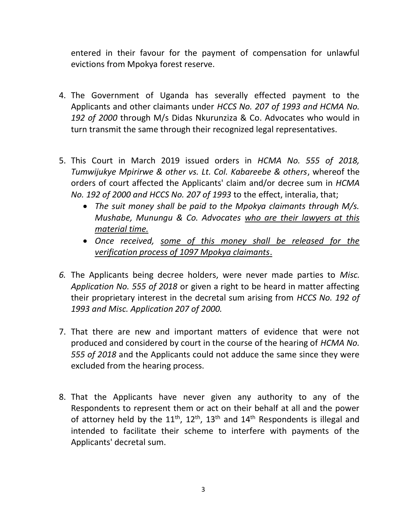entered in their favour for the payment of compensation for unlawful evictions from Mpokya forest reserve.

- 4. The Government of Uganda has severally effected payment to the Applicants and other claimants under *HCCS No. 207 of 1993 and HCMA No. 192 of 2000* through M/s Didas Nkurunziza & Co. Advocates who would in turn transmit the same through their recognized legal representatives.
- 5. This Court in March 2019 issued orders in *HCMA No. 555 of 2018, Tumwijukye Mpirirwe & other vs. Lt. Col. Kabareebe & others*, whereof the orders of court affected the Applicants' claim and/or decree sum in *HCMA No. 192 of 2000 and HCCS No. 207 of 1993* to the effect, interalia, that;
	- *The suit money shall be paid to the Mpokya claimants through M/s. Mushabe, Munungu & Co. Advocates who are their lawyers at this material time.*
	- *Once received, some of this money shall be released for the verification process of 1097 Mpokya claimants*.
- *6.* The Applicants being decree holders, were never made parties to *Misc. Application No. 555 of 2018* or given a right to be heard in matter affecting their proprietary interest in the decretal sum arising from *HCCS No. 192 of 1993 and Misc. Application 207 of 2000.*
- 7. That there are new and important matters of evidence that were not produced and considered by court in the course of the hearing of *HCMA No. 555 of 2018* and the Applicants could not adduce the same since they were excluded from the hearing process.
- 8. That the Applicants have never given any authority to any of the Respondents to represent them or act on their behalf at all and the power of attorney held by the  $11^{th}$ ,  $12^{th}$ ,  $13^{th}$  and  $14^{th}$  Respondents is illegal and intended to facilitate their scheme to interfere with payments of the Applicants' decretal sum.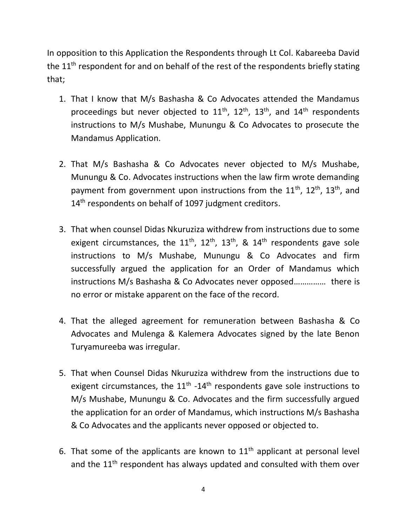In opposition to this Application the Respondents through Lt Col. Kabareeba David the 11<sup>th</sup> respondent for and on behalf of the rest of the respondents briefly stating that;

- 1. That I know that M/s Bashasha & Co Advocates attended the Mandamus proceedings but never objected to  $11<sup>th</sup>$ ,  $12<sup>th</sup>$ ,  $13<sup>th</sup>$ , and  $14<sup>th</sup>$  respondents instructions to M/s Mushabe, Munungu & Co Advocates to prosecute the Mandamus Application.
- 2. That M/s Bashasha & Co Advocates never objected to M/s Mushabe, Munungu & Co. Advocates instructions when the law firm wrote demanding payment from government upon instructions from the  $11<sup>th</sup>$ ,  $12<sup>th</sup>$ ,  $13<sup>th</sup>$ , and 14<sup>th</sup> respondents on behalf of 1097 judgment creditors.
- 3. That when counsel Didas Nkuruziza withdrew from instructions due to some exigent circumstances, the  $11^{th}$ ,  $12^{th}$ ,  $13^{th}$ , &  $14^{th}$  respondents gave sole instructions to M/s Mushabe, Munungu & Co Advocates and firm successfully argued the application for an Order of Mandamus which instructions M/s Bashasha & Co Advocates never opposed…………… there is no error or mistake apparent on the face of the record.
- 4. That the alleged agreement for remuneration between Bashasha & Co Advocates and Mulenga & Kalemera Advocates signed by the late Benon Turyamureeba was irregular.
- 5. That when Counsel Didas Nkuruziza withdrew from the instructions due to exigent circumstances, the  $11<sup>th</sup>$  -14<sup>th</sup> respondents gave sole instructions to M/s Mushabe, Munungu & Co. Advocates and the firm successfully argued the application for an order of Mandamus, which instructions M/s Bashasha & Co Advocates and the applicants never opposed or objected to.
- 6. That some of the applicants are known to  $11<sup>th</sup>$  applicant at personal level and the  $11<sup>th</sup>$  respondent has always updated and consulted with them over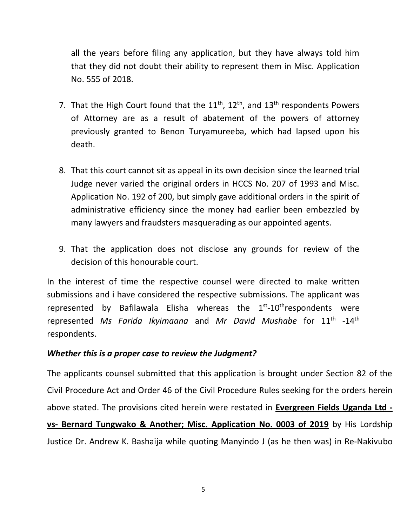all the years before filing any application, but they have always told him that they did not doubt their ability to represent them in Misc. Application No. 555 of 2018.

- 7. That the High Court found that the  $11^{th}$ ,  $12^{th}$ , and  $13^{th}$  respondents Powers of Attorney are as a result of abatement of the powers of attorney previously granted to Benon Turyamureeba, which had lapsed upon his death.
- 8. That this court cannot sit as appeal in its own decision since the learned trial Judge never varied the original orders in HCCS No. 207 of 1993 and Misc. Application No. 192 of 200, but simply gave additional orders in the spirit of administrative efficiency since the money had earlier been embezzled by many lawyers and fraudsters masquerading as our appointed agents.
- 9. That the application does not disclose any grounds for review of the decision of this honourable court.

In the interest of time the respective counsel were directed to make written submissions and i have considered the respective submissions. The applicant was represented by Bafilawala Elisha whereas the 1<sup>st</sup>-10<sup>th</sup>respondents were represented *Ms Farida Ikyimaana* and *Mr David Mushabe* for 11th -14th respondents.

#### *Whether this is a proper case to review the Judgment?*

The applicants counsel submitted that this application is brought under Section 82 of the Civil Procedure Act and Order 46 of the Civil Procedure Rules seeking for the orders herein above stated. The provisions cited herein were restated in **Evergreen Fields Uganda Ltd vs- Bernard Tungwako & Another; Misc. Application No. 0003 of 2019** by His Lordship Justice Dr. Andrew K. Bashaija while quoting Manyindo J (as he then was) in Re-Nakivubo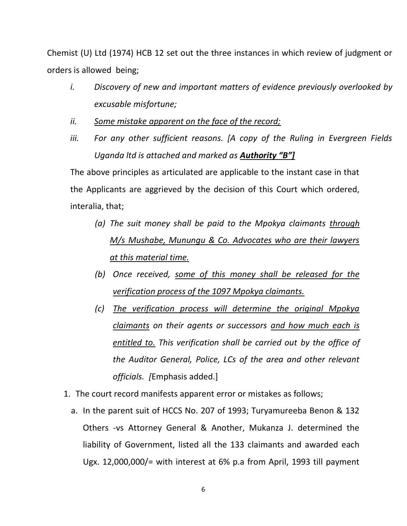Chemist (U) Ltd (1974) HCB 12 set out the three instances in which review of judgment or orders is allowed being;

- *i. Discovery of new and important matters of evidence previously overlooked by excusable misfortune;*
- *ii. Some mistake apparent on the face of the record;*
- *iii. For any other sufficient reasons. [A copy of the Ruling in Evergreen Fields Uganda ltd is attached and marked as Authority "B"]*

The above principles as articulated are applicable to the instant case in that the Applicants are aggrieved by the decision of this Court which ordered, interalia, that;

- *(a) The suit money shall be paid to the Mpokya claimants through M/s Mushabe, Munungu & Co. Advocates who are their lawyers at this material time.*
- *(b) Once received, some of this money shall be released for the verification process of the 1097 Mpokya claimants.*
- *(c) The verification process will determine the original Mpokya claimants on their agents or successors and how much each is entitled to. This verification shall be carried out by the office of the Auditor General, Police, LCs of the area and other relevant officials. [*Emphasis added.]
- 1. The court record manifests apparent error or mistakes as follows;
	- a. In the parent suit of HCCS No. 207 of 1993; Turyamureeba Benon & 132 Others -vs Attorney General & Another, Mukanza J. determined the liability of Government, listed all the 133 claimants and awarded each Ugx. 12,000,000/= with interest at 6% p.a from April, 1993 till payment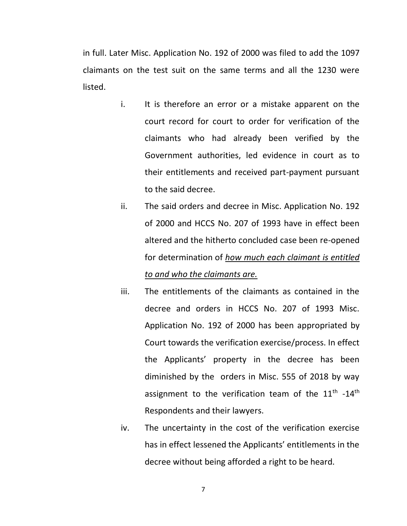in full. Later Misc. Application No. 192 of 2000 was filed to add the 1097 claimants on the test suit on the same terms and all the 1230 were listed.

- i. It is therefore an error or a mistake apparent on the court record for court to order for verification of the claimants who had already been verified by the Government authorities, led evidence in court as to their entitlements and received part-payment pursuant to the said decree.
- ii. The said orders and decree in Misc. Application No. 192 of 2000 and HCCS No. 207 of 1993 have in effect been altered and the hitherto concluded case been re-opened for determination of *how much each claimant is entitled to and who the claimants are.*
- iii. The entitlements of the claimants as contained in the decree and orders in HCCS No. 207 of 1993 Misc. Application No. 192 of 2000 has been appropriated by Court towards the verification exercise/process. In effect the Applicants' property in the decree has been diminished by the orders in Misc. 555 of 2018 by way assignment to the verification team of the  $11^{\text{th}}$  -14<sup>th</sup> Respondents and their lawyers.
- iv. The uncertainty in the cost of the verification exercise has in effect lessened the Applicants' entitlements in the decree without being afforded a right to be heard.

7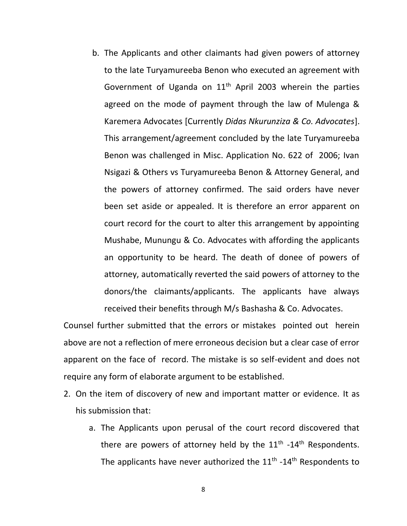b. The Applicants and other claimants had given powers of attorney to the late Turyamureeba Benon who executed an agreement with Government of Uganda on  $11<sup>th</sup>$  April 2003 wherein the parties agreed on the mode of payment through the law of Mulenga & Karemera Advocates [Currently *Didas Nkurunziza & Co. Advocates*]. This arrangement/agreement concluded by the late Turyamureeba Benon was challenged in Misc. Application No. 622 of 2006; Ivan Nsigazi & Others vs Turyamureeba Benon & Attorney General, and the powers of attorney confirmed. The said orders have never been set aside or appealed. It is therefore an error apparent on court record for the court to alter this arrangement by appointing Mushabe, Munungu & Co. Advocates with affording the applicants an opportunity to be heard. The death of donee of powers of attorney, automatically reverted the said powers of attorney to the donors/the claimants/applicants. The applicants have always received their benefits through M/s Bashasha & Co. Advocates.

Counsel further submitted that the errors or mistakes pointed out herein above are not a reflection of mere erroneous decision but a clear case of error apparent on the face of record. The mistake is so self-evident and does not require any form of elaborate argument to be established.

- 2. On the item of discovery of new and important matter or evidence. It as his submission that:
	- a. The Applicants upon perusal of the court record discovered that there are powers of attorney held by the  $11<sup>th</sup>$  -14<sup>th</sup> Respondents. The applicants have never authorized the  $11<sup>th</sup>$  -14<sup>th</sup> Respondents to

8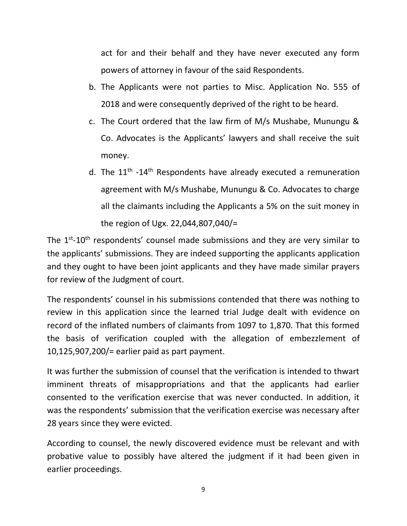act for and their behalf and they have never executed any form powers of attorney in favour of the said Respondents.

- b. The Applicants were not parties to Misc. Application No. 555 of 2018 and were consequently deprived of the right to be heard.
- c. The Court ordered that the law firm of M/s Mushabe, Munungu & Co. Advocates is the Applicants' lawyers and shall receive the suit money.
- d. The  $11<sup>th</sup>$  -14<sup>th</sup> Respondents have already executed a remuneration agreement with M/s Mushabe, Munungu & Co. Advocates to charge all the claimants including the Applicants a 5% on the suit money in the region of Ugx. 22,044,807,040/=

The  $1<sup>st</sup>$ -10<sup>th</sup> respondents' counsel made submissions and they are very similar to the applicants' submissions. They are indeed supporting the applicants application and they ought to have been joint applicants and they have made similar prayers for review of the Judgment of court.

The respondents' counsel in his submissions contended that there was nothing to review in this application since the learned trial Judge dealt with evidence on record of the inflated numbers of claimants from 1097 to 1,870. That this formed the basis of verification coupled with the allegation of embezzlement of 10,125,907,200/= earlier paid as part payment.

It was further the submission of counsel that the verification is intended to thwart imminent threats of misappropriations and that the applicants had earlier consented to the verification exercise that was never conducted. In addition, it was the respondents' submission that the verification exercise was necessary after 28 years since they were evicted.

According to counsel, the newly discovered evidence must be relevant and with probative value to possibly have altered the judgment if it had been given in earlier proceedings.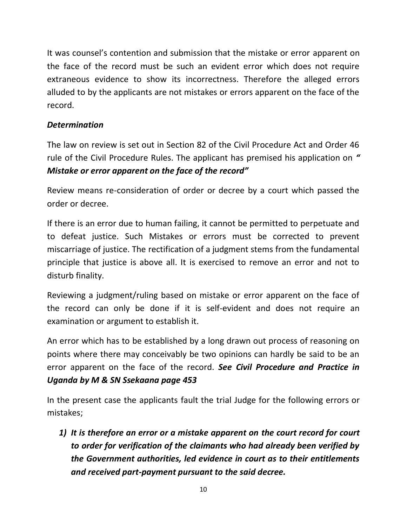It was counsel's contention and submission that the mistake or error apparent on the face of the record must be such an evident error which does not require extraneous evidence to show its incorrectness. Therefore the alleged errors alluded to by the applicants are not mistakes or errors apparent on the face of the record.

### *Determination*

The law on review is set out in Section 82 of the Civil Procedure Act and Order 46 rule of the Civil Procedure Rules. The applicant has premised his application on *" Mistake or error apparent on the face of the record"*

Review means re-consideration of order or decree by a court which passed the order or decree.

If there is an error due to human failing, it cannot be permitted to perpetuate and to defeat justice. Such Mistakes or errors must be corrected to prevent miscarriage of justice. The rectification of a judgment stems from the fundamental principle that justice is above all. It is exercised to remove an error and not to disturb finality.

Reviewing a judgment/ruling based on mistake or error apparent on the face of the record can only be done if it is self-evident and does not require an examination or argument to establish it.

An error which has to be established by a long drawn out process of reasoning on points where there may conceivably be two opinions can hardly be said to be an error apparent on the face of the record. *See Civil Procedure and Practice in Uganda by M & SN Ssekaana page 453* 

In the present case the applicants fault the trial Judge for the following errors or mistakes;

*1) It is therefore an error or a mistake apparent on the court record for court to order for verification of the claimants who had already been verified by the Government authorities, led evidence in court as to their entitlements and received part-payment pursuant to the said decree.*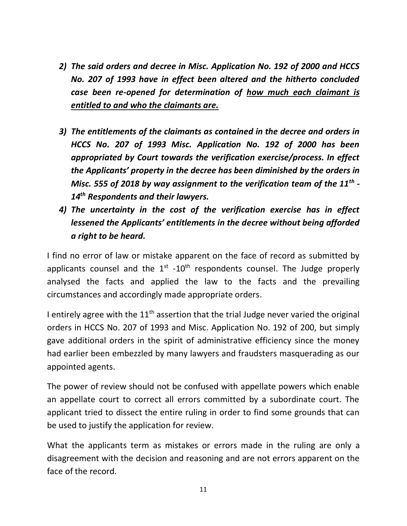- *2) The said orders and decree in Misc. Application No. 192 of 2000 and HCCS No. 207 of 1993 have in effect been altered and the hitherto concluded case been re-opened for determination of how much each claimant is entitled to and who the claimants are.*
- *3) The entitlements of the claimants as contained in the decree and orders in HCCS No. 207 of 1993 Misc. Application No. 192 of 2000 has been appropriated by Court towards the verification exercise/process. In effect the Applicants' property in the decree has been diminished by the orders in Misc. 555 of 2018 by way assignment to the verification team of the 11th - 14th Respondents and their lawyers.*
- *4) The uncertainty in the cost of the verification exercise has in effect lessened the Applicants' entitlements in the decree without being afforded a right to be heard.*

I find no error of law or mistake apparent on the face of record as submitted by applicants counsel and the  $1<sup>st</sup> - 10<sup>th</sup>$  respondents counsel. The Judge properly analysed the facts and applied the law to the facts and the prevailing circumstances and accordingly made appropriate orders.

I entirely agree with the  $11<sup>th</sup>$  assertion that the trial Judge never varied the original orders in HCCS No. 207 of 1993 and Misc. Application No. 192 of 200, but simply gave additional orders in the spirit of administrative efficiency since the money had earlier been embezzled by many lawyers and fraudsters masquerading as our appointed agents.

The power of review should not be confused with appellate powers which enable an appellate court to correct all errors committed by a subordinate court. The applicant tried to dissect the entire ruling in order to find some grounds that can be used to justify the application for review.

What the applicants term as mistakes or errors made in the ruling are only a disagreement with the decision and reasoning and are not errors apparent on the face of the record.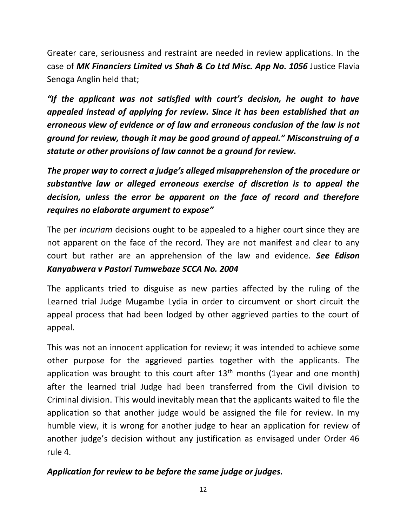Greater care, seriousness and restraint are needed in review applications. In the case of MK Financiers Limited vs Shah & Co Ltd Misc. App No. 1056 Justice Flavia Senoga Anglin held that;

*"If the applicant was not satisfied with court's decision, he ought to have appealed instead of applying for review. Since it has been established that an erroneous view of evidence or of law and erroneous conclusion of the law is not ground for review, though it may be good ground of appeal." Misconstruing of a statute or other provisions of law cannot be a ground for review.* 

*The proper way to correct a judge's alleged misapprehension of the procedure or substantive law or alleged erroneous exercise of discretion is to appeal the decision, unless the error be apparent on the face of record and therefore requires no elaborate argument to expose"*

The per *incuriam* decisions ought to be appealed to a higher court since they are not apparent on the face of the record. They are not manifest and clear to any court but rather are an apprehension of the law and evidence. *See Edison Kanyabwera v Pastori Tumwebaze SCCA No. 2004* 

The applicants tried to disguise as new parties affected by the ruling of the Learned trial Judge Mugambe Lydia in order to circumvent or short circuit the appeal process that had been lodged by other aggrieved parties to the court of appeal.

This was not an innocent application for review; it was intended to achieve some other purpose for the aggrieved parties together with the applicants. The application was brought to this court after  $13<sup>th</sup>$  months (1year and one month) after the learned trial Judge had been transferred from the Civil division to Criminal division. This would inevitably mean that the applicants waited to file the application so that another judge would be assigned the file for review. In my humble view, it is wrong for another judge to hear an application for review of another judge's decision without any justification as envisaged under Order 46 rule 4.

## *Application for review to be before the same judge or judges.*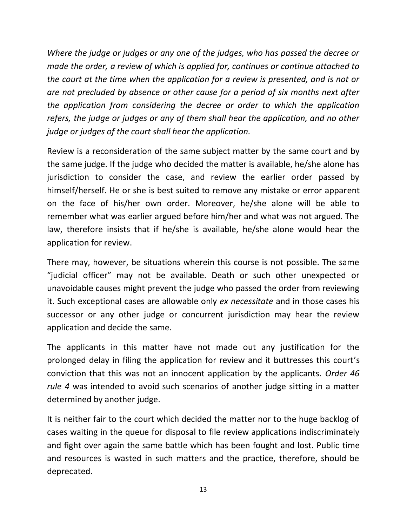*Where the judge or judges or any one of the judges, who has passed the decree or made the order, a review of which is applied for, continues or continue attached to the court at the time when the application for a review is presented, and is not or are not precluded by absence or other cause for a period of six months next after the application from considering the decree or order to which the application refers, the judge or judges or any of them shall hear the application, and no other judge or judges of the court shall hear the application.*

Review is a reconsideration of the same subject matter by the same court and by the same judge. If the judge who decided the matter is available, he/she alone has jurisdiction to consider the case, and review the earlier order passed by himself/herself. He or she is best suited to remove any mistake or error apparent on the face of his/her own order. Moreover, he/she alone will be able to remember what was earlier argued before him/her and what was not argued. The law, therefore insists that if he/she is available, he/she alone would hear the application for review.

There may, however, be situations wherein this course is not possible. The same "judicial officer" may not be available. Death or such other unexpected or unavoidable causes might prevent the judge who passed the order from reviewing it. Such exceptional cases are allowable only *ex necessitate* and in those cases his successor or any other judge or concurrent jurisdiction may hear the review application and decide the same.

The applicants in this matter have not made out any justification for the prolonged delay in filing the application for review and it buttresses this court's conviction that this was not an innocent application by the applicants. *Order 46 rule 4* was intended to avoid such scenarios of another judge sitting in a matter determined by another judge.

It is neither fair to the court which decided the matter nor to the huge backlog of cases waiting in the queue for disposal to file review applications indiscriminately and fight over again the same battle which has been fought and lost. Public time and resources is wasted in such matters and the practice, therefore, should be deprecated.